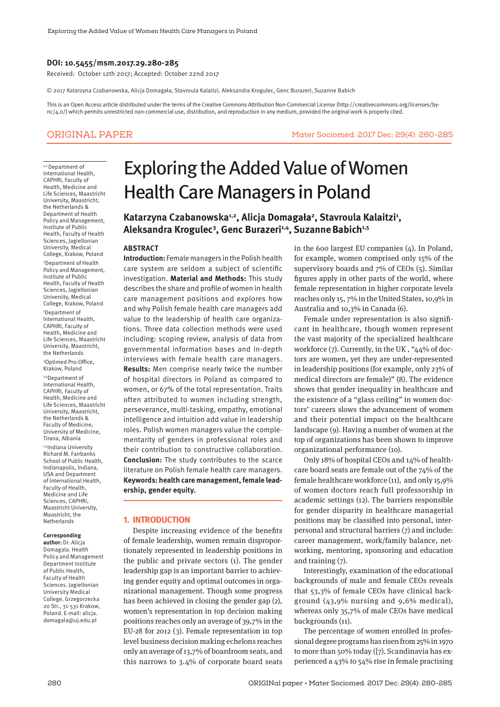## **DOI: 10.5455/msm.2017.29.280-285**

Received: October 12th 2017; Accepted: October 22nd 2017

© 2017 Katarzyna Czabanowska, Alicja Domagała, Stavroula Kalaitzi, Aleksandra Krogulec, Genc Burazeri, Suzanne Babich

This is an Open Access article distributed under the terms of the Creative Commons Attribution Non-Commercial License (http://creativecommons.org/licenses/bync/4.0/) which permits unrestricted non-commercial use, distribution, and reproduction in any medium, provided the original work is properly cited.

## ORIGINAL PAPER Mater Sociomed. 2017 Dec; 29(4): 280-285

1,2 Department of International Health, CAPHRI, Faculty of Health, Medicine and Life Sciences, Maastricht University, Maastricht, the Netherlands & Department of Health Policy and Management, Institute of Public Health, Faculty of Health Sciences, Jagiellonian University, Medical College, Krakow, Poland 2 Department of Health Policy and Management, Institute of Public Health, Faculty of Health Sciences, Jagiellonian University, Medical College, Krakow, Poland

1 Department of International Health, CAPHRI, Faculty of Health, Medicine and Life Sciences, Maastricht University, Maastricht, the Netherlands

3 Optimed Pro-Office, Krakow, Poland

1,4Department of International Health, CAPHRI, Faculty of Health, Medicine and Life Sciences, Maastricht University, Maastricht, the Netherlands & Faculty of Medicine, University of Medicine, Tirana, Albania 1,5Indiana University Richard M. Fairbanks School of Public Health, Indianapolis, Indiana, USA and Department of International Health, Faculty of Health, Medicine and Life Sciences, CAPHRI, Maastricht University, Maastricht, the **Netherlands** 

#### **Corresponding**

**author:** Dr. Alicja Domagala. Health Policy and Management Department Institute of Public Health, Faculty of Health Sciences. Jagiellonian University Medical College. Grzegorzecka 20 Str., 31-531 Krakow, Poland. E-mail: alicja. domagala@uj.edu.pl

# Exploring the Added Value of Women Health Care Managers in Poland

Katarzyna Czabanowska1,2, Alicja Domagała2, Stavroula Kalaitzi<sup>1</sup>, **Aleksandra Krogulec3 , Genc Burazeri1,4, SuzanneBabich1,5**

#### **ABSTRACT**

**Introduction:** Female managers in the Polish health care system are seldom a subject of scientific investigation. **Material and Methods:** This study describes the share and profile of women in health care management positions and explores how and why Polish female health care managers add value to the leadership of health care organizations. Three data collection methods were used including: scoping review, analysis of data from governmental information bases and in-depth interviews with female health care managers. **Results:** Men comprise nearly twice the number of hospital directors in Poland as compared to women, or 67% of the total representation. Traits often attributed to women including strength, perseverance, multi-tasking, empathy, emotional intelligence and intuition add value in leadership roles. Polish women managers value the complementarity of genders in professional roles and their contribution to constructive collaboration. **Conclusion:** The study contributes to the scarce literature on Polish female health care managers. **Keywords: health care management, female leadership, gender equity.**

#### **1. INTRODUCTION**

Despite increasing evidence of the benefits of female leadership, women remain disproportionately represented in leadership positions in the public and private sectors (1). The gender leadership gap is an important barrier to achieving gender equity and optimal outcomes in organizational management. Though some progress has been achieved in closing the gender gap (2), women's representation in top decision making positions reaches only an average of 39,7% in the EU-28 for 2012 (3). Female representation in top level business decision making echelons reaches only an average of 13,7% of boardroom seats, and this narrows to 3.4% of corporate board seats in the 600 largest EU companies (4). In Poland, for example, women comprised only 15% of the supervisory boards and 7% of CEOs (5). Similar figures apply in other parts of the world, where female representation in higher corporate levels reaches only 15, 7% in the United States, 10,9% in Australia and 10,3% in Canada (6).

Female under representation is also significant in healthcare, though women represent the vast majority of the specialized healthcare workforce (7). Currently, in the UK , "44% of doctors are women, yet they are under-represented in leadership positions (for example, only 23% of medical directors are female)" (8). The evidence shows that gender inequality in healthcare and the existence of a "glass ceiling" in women doctors' careers slows the advancement of women and their potential impact on the healthcare landscape (9). Having a number of women at the top of organizations has been shown to improve organizational performance (10).

Only 18% of hospital CEOs and 14% of healthcare board seats are female out of the 74% of the female healthcare workforce (11), and only 15,9% of women doctors reach full professorship in academic settings (12). The barriers responsible for gender disparity in healthcare managerial positions may be classified into personal, interpersonal and structural barriers (7) and include: career management, work/family balance, networking, mentoring, sponsoring and education and training (7).

Interestingly, examination of the educational backgrounds of male and female CEOs reveals that 53,3% of female CEOs have clinical background (43,9% nursing and 9,6% medical), whereas only 35,7% of male CEOs have medical backgrounds (11).

The percentage of women enrolled in professional degree programs has risen from 25% in 1970 to more than 50% today ([7). Scandinavia has experienced a 43% to 54% rise in female practising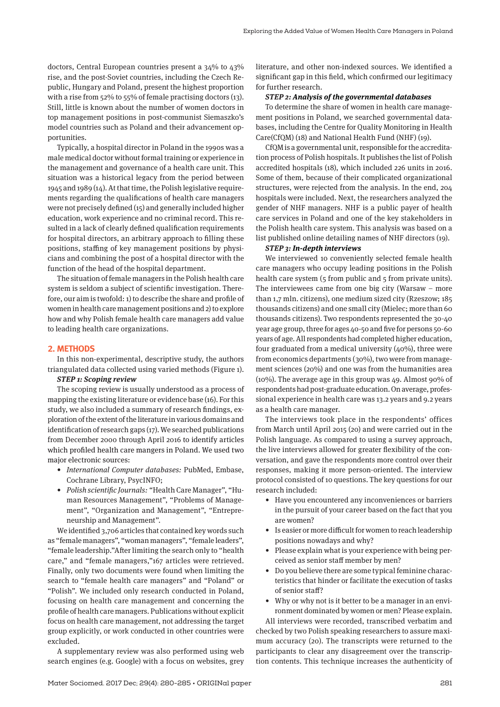doctors, Central European countries present a 34% to 43% rise, and the post-Soviet countries, including the Czech Republic, Hungary and Poland, present the highest proportion with a rise from 52% to 55% of female practising doctors (13). Still, little is known about the number of women doctors in top management positions in post-communist Siemaszko's model countries such as Poland and their advancement opportunities.

Typically, a hospital director in Poland in the 1990s was a male medical doctor without formal training or experience in the management and governance of a health care unit. This situation was a historical legacy from the period between 1945 and 1989 (14). At that time, the Polish legislative requirements regarding the qualifications of health care managers were not precisely defined (15) and generally included higher education, work experience and no criminal record. This resulted in a lack of clearly defined qualification requirements for hospital directors, an arbitrary approach to filling these positions, staffing of key management positions by physicians and combining the post of a hospital director with the function of the head of the hospital department.

The situation of female managers in the Polish health care system is seldom a subject of scientific investigation. Therefore, our aim is twofold: 1) to describe the share and profile of women in health care management positions and 2) to explore how and why Polish female health care managers add value to leading health care organizations.

#### **2. METHODS**

In this non-experimental, descriptive study, the authors triangulated data collected using varied methods (Figure 1).

## *STEP 1: Scoping review*

The scoping review is usually understood as a process of mapping the existing literature or evidence base (16). For this study, we also included a summary of research findings, exploration of the extent of the literature in various domains and identification of research gaps (17). We searched publications from December 2000 through April 2016 to identify articles which profiled health care mangers in Poland. We used two major electronic sources:

- *• International Computer databases:* PubMed, Embase, Cochrane Library, PsycINFO;
- *• Polish scientific Journals: "*Health Care Manager", "Human Resources Management", "Problems of Management", "Organization and Management", "Entrepreneurship and Management".

We identified 3,706 articles that contained key words such as "female managers", "woman managers", "female leaders", "female leadership."After limiting the search only to "health care," and "female managers,"167 articles were retrieved. Finally, only two documents were found when limiting the search to "female health care managers" and "Poland" or "Polish". We included only research conducted in Poland, focusing on health care management and concerning the profile of health care managers. Publications without explicit focus on health care management, not addressing the target group explicitly, or work conducted in other countries were excluded.

A supplementary review was also performed using web search engines (e.g. Google) with a focus on websites, grey literature, and other non-indexed sources. We identified a significant gap in this field, which confirmed our legitimacy for further research.

#### *STEP 2: Analysis of the governmental databases*

To determine the share of women in health care management positions in Poland, we searched governmental databases, including the Centre for Quality Monitoring in Health Care(CfQM) (18) and National Health Fund (NHF) (19).

CfQM is a governmental unit, responsible for the accreditation process of Polish hospitals. It publishes the list of Polish accredited hospitals (18), which included 226 units in 2016. Some of them, because of their complicated organizational structures, were rejected from the analysis. In the end, 204 hospitals were included. Next, the researchers analyzed the gender of NHF managers. NHF is a public payer of health care services in Poland and one of the key stakeholders in the Polish health care system. This analysis was based on a list published online detailing names of NHF directors (19).

#### *STEP 3: In-depth interviews*

We interviewed 10 conveniently selected female health care managers who occupy leading positions in the Polish health care system (5 from public and 5 from private units). The interviewees came from one big city (Warsaw – more than 1,7 mln. citizens), one medium sized city (Rzeszow; 185 thousands citizens) and one small city (Mielec; more than 60 thousands citizens). Two respondents represented the 30-40 year age group, three for ages 40-50 and five for persons 50-60 years of age. All respondents had completed higher education, four graduated from a medical university  $(40\%)$ , three were from economics departments (30%), two were from management sciences (20%) and one was from the humanities area (10%). The average age in this group was 49. Almost 90% of respondents had post-graduate education. On average, professional experience in health care was 13.2 years and 9.2 years as a health care manager.

The interviews took place in the respondents' offices from March until April 2015 (20) and were carried out in the Polish language. As compared to using a survey approach, the live interviews allowed for greater flexibility of the conversation, and gave the respondents more control over their responses, making it more person-oriented. The interview protocol consisted of 10 questions. The key questions for our research included:

- Have you encountered any inconveniences or barriers in the pursuit of your career based on the fact that you are women?
- Is easier or more difficult for women to reach leadership positions nowadays and why?
- Please explain what is your experience with being perceived as senior staff member by men?
- Do you believe there are some typical feminine characteristics that hinder or facilitate the execution of tasks of senior staff?
- Why or why not is it better to be a manager in an environment dominated by women or men? Please explain.

All interviews were recorded, transcribed verbatim and checked by two Polish speaking researchers to assure maximum accuracy (20). The transcripts were returned to the participants to clear any disagreement over the transcription contents. This technique increases the authenticity of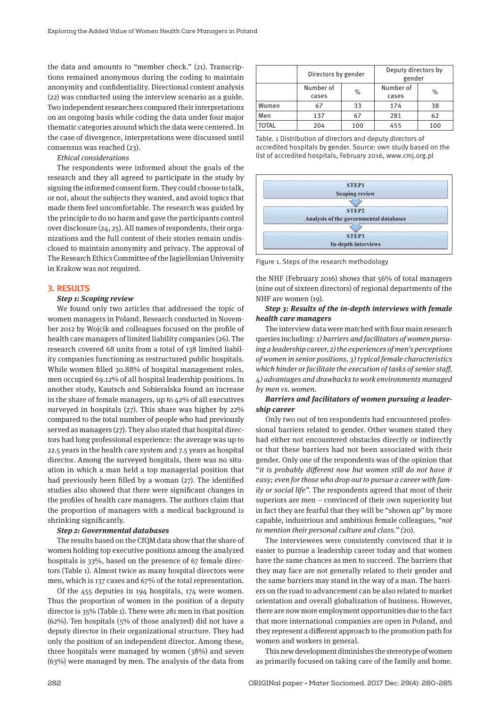the data and amounts to "member check." (21). Transcriptions remained anonymous during the coding to maintain anonymity and confidentiality. Directional content analysis (22) was conducted using the interview scenario as a guide. Two independent researchers compared their interpretations on an ongoing basis while coding the data under four major thematic categories around which the data were centered. In the case of divergence, interpretations were discussed until consensus was reached (23).

*Ethical considerations*

The respondents were informed about the goals of the research and they all agreed to participate in the study by signing the informed consent form. They could choose to talk, or not, about the subjects they wanted, and avoid topics that made them feel uncomfortable. The research was guided by the principle to do no harm and gave the participants control over disclosure (24, 25). All names of respondents, their organizations and the full content of their stories remain undisclosed to maintain anonymity and privacy. The approval of The Research Ethics Committee of the Jagiellonian University in Krakow was not required.

## **3. RESULTS**

#### *Step 1: Scoping review*

We found only two articles that addressed the topic of women managers in Poland. Research conducted in November 2012 by Wojcik and colleagues focused on the profile of health care managers of limited liability companies (26). The research covered 68 units from a total of 138 limited liability companies functioning as restructured public hospitals. While women filled 30.88% of hospital management roles, men occupied 69.12% of all hospital leadership positions. In another study, Kautsch and Sobieralska found an increase in the share of female managers, up to 42% of all executives surveyed in hospitals (27). This share was higher by 22% compared to the total number of people who had previously served as managers (27). They also stated that hospital directors had long professional experience: the average was up to 22.5 years in the health care system and 7.5 years as hospital director. Among the surveyed hospitals, there was no situation in which a man held a top managerial position that had previously been filled by a woman  $(27)$ . The identified studies also showed that there were significant changes in the profiles of health care managers. The authors claim that the proportion of managers with a medical background is shrinking significantly.

#### *Step 2: Governmental databases*

The results based on the CfQM data show that the share of women holding top executive positions among the analyzed hospitals is 33%, based on the presence of 67 female directors (Table 1). Almost twice as many hospital directors were men, which is 137 cases and 67% of the total representation.

Of the 455 deputies in 194 hospitals, 174 were women. Thus the proportion of women in the position of a deputy director is 35% (Table 1). There were 281 men in that position (62%). Ten hospitals (5% of those analyzed) did not have a deputy director in their organizational structure. They had only the position of an independent director. Among these, three hospitals were managed by women (38%) and seven (63%) were managed by men. The analysis of the data from

|       | Directors by gender |      | Deputy directors by<br>gender |      |
|-------|---------------------|------|-------------------------------|------|
|       | Number of<br>cases  | $\%$ | Number of<br>cases            | $\%$ |
| Women | 67                  | 33   | 174                           | 38   |
| Men   | 137                 | 67   | 281                           | 62   |
| TOTAL | 204                 | 100  | 455                           | 100  |

Table. 1 Distribution of directors and deputy directors of accredited hospitals by gender. Source: own study based on the list of accredited hospitals, February 2016, www.cmj.org.pl



Figure 1. Steps of the research methodology

the NHF (February 2016) shows that 56% of total managers (nine out of sixteen directors) of regional departments of the NHF are women (19).

## *Step 3: Results of the in-depth interviews with female health care managers*

The interview data were matched with four main research queries including: *1) barriers and facilitators of women pursuing a leadership career, 2) the experiences of men's perceptions of women in senior positions, 3) typical female characteristics which hinder or facilitate the execution of tasks of senior staff , 4) advantages and drawbacks to work environments managed by men vs. women.*

## *Barriers and facilitators of women pursuing a leadership career*

Only two out of ten respondents had encountered professional barriers related to gender. Other women stated they had either not encountered obstacles directly or indirectly or that these barriers had not been associated with their gender. Only one of the respondents was of the opinion that "it is probably different now but women still do not have it *easy; even for those who drop out to pursue a career with family or social life"*. The respondents agreed that most of their superiors are men – convinced of their own superiority but in fact they are fearful that they will be "shown up" by more capable, industrious and ambitious female colleagues, *"not to mention their personal culture and class." (*20).

The interviewees were consistently convinced that it is easier to pursue a leadership career today and that women have the same chances as men to succeed. The barriers that they may face are not generally related to their gender and the same barriers may stand in the way of a man. The barriers on the road to advancement can be also related to market orientation and overall globalization of business. However, there are now more employment opportunities due to the fact that more international companies are open in Poland, and they represent a different approach to the promotion path for women and workers in general.

This new development diminishes the stereotype of women as primarily focused on taking care of the family and home.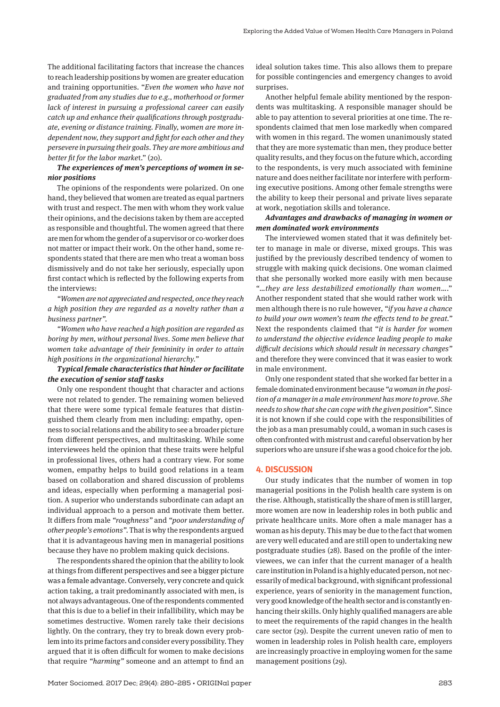The additional facilitating factors that increase the chances to reach leadership positions by women are greater education and training opportunities. "*Even the women who have not graduated from any studies due to e.g., motherhood or former lack of interest in pursuing a professional career can easily catch up and enhance their qualifications through postgraduate, evening or distance training. Finally, women are more independent now, they support and fight for each other and they persevere in pursuing their goals. They are more ambitious and better fit for the labor marke*t." (20).

## *The experiences of men's perceptions of women in senior positions*

The opinions of the respondents were polarized. On one hand, they believed that women are treated as equal partners with trust and respect. The men with whom they work value their opinions, and the decisions taken by them are accepted as responsible and thoughtful. The women agreed that there are men for whom the gender of a supervisor or co-worker does not matter or impact their work. On the other hand, some respondents stated that there are men who treat a woman boss dismissively and do not take her seriously, especially upon first contact which is reflected by the following experts from the interviews:

*"Women are not appreciated and respected, once they reach a high position they are regarded as a novelty rather than a business partner".*

*"Women who have reached a high position are regarded as boring by men, without personal lives. Some men believe that women take advantage of their femininity in order to attain high positions in the organizational hierarchy."*

## *Typical female characteristics that hinder or facilitate the execution of senior staff tasks*

Only one respondent thought that character and actions were not related to gender. The remaining women believed that there were some typical female features that distinguished them clearly from men including: empathy, openness to social relations and the ability to see a broader picture from different perspectives, and multitasking. While some interviewees held the opinion that these traits were helpful in professional lives, others had a contrary view. For some women, empathy helps to build good relations in a team based on collaboration and shared discussion of problems and ideas, especially when performing a managerial position. A superior who understands subordinate can adapt an individual approach to a person and motivate them better. It differs from male *"roughness"* and *"poor understanding of other people's emotions"*. That is why the respondents argued that it is advantageous having men in managerial positions because they have no problem making quick decisions.

The respondents shared the opinion that the ability to look at things from different perspectives and see a bigger picture was a female advantage. Conversely, very concrete and quick action taking, a trait predominantly associated with men, is not always advantageous. One of the respondents commented that this is due to a belief in their infallibility, which may be sometimes destructive. Women rarely take their decisions lightly. On the contrary, they try to break down every problem into its prime factors and consider every possibility. They argued that it is often difficult for women to make decisions that require *"harming"* someone and an attempt to find an ideal solution takes time. This also allows them to prepare for possible contingencies and emergency changes to avoid surprises.

Another helpful female ability mentioned by the respondents was multitasking. A responsible manager should be able to pay attention to several priorities at one time. The respondents claimed that men lose markedly when compared with women in this regard. The women unanimously stated that they are more systematic than men, they produce better quality results, and they focus on the future which, according to the respondents, is very much associated with feminine nature and does neither facilitate nor interfere with performing executive positions. Among other female strengths were the ability to keep their personal and private lives separate at work, negotiation skills and tolerance.

## *Advantages and drawbacks of managing in women or men dominated work environments*

The interviewed women stated that it was definitely better to manage in male or diverse, mixed groups. This was justified by the previously described tendency of women to struggle with making quick decisions. One woman claimed that she personally worked more easily with men because *"*…*they are less destabilized emotionally than women*…." Another respondent stated that she would rather work with men although there is no rule however, *"if you have a chance to build your own women's team the effects tend to be great."* Next the respondents claimed that "*it is harder for women to understand the objective evidence leading people to make difficult decisions which should result in necessary changes"* and therefore they were convinced that it was easier to work in male environment.

Only one respondent stated that she worked far better in a female dominated environment because *"a woman in the position of a manager in a male environment has more to prove. She needs to show that she can cope with the given position"*. Since it is not known if she could cope with the responsibilities of the job as a man presumably could, a woman in such cases is often confronted with mistrust and careful observation by her superiors who are unsure if she was a good choice for the job.

#### **4. DISCUSSION**

Our study indicates that the number of women in top managerial positions in the Polish health care system is on the rise. Although, statistically the share of men is still larger, more women are now in leadership roles in both public and private healthcare units. More often a male manager has a woman as his deputy. This may be due to the fact that women are very well educated and are still open to undertaking new postgraduate studies (28). Based on the profile of the interviewees, we can infer that the current manager of a health care institution in Poland is a highly educated person, not necessarily of medical background, with significant professional experience, years of seniority in the management function, very good knowledge of the health sector and is constantly enhancing their skills. Only highly qualified managers are able to meet the requirements of the rapid changes in the health care sector (29). Despite the current uneven ratio of men to women in leadership roles in Polish health care, employers are increasingly proactive in employing women for the same management positions (29).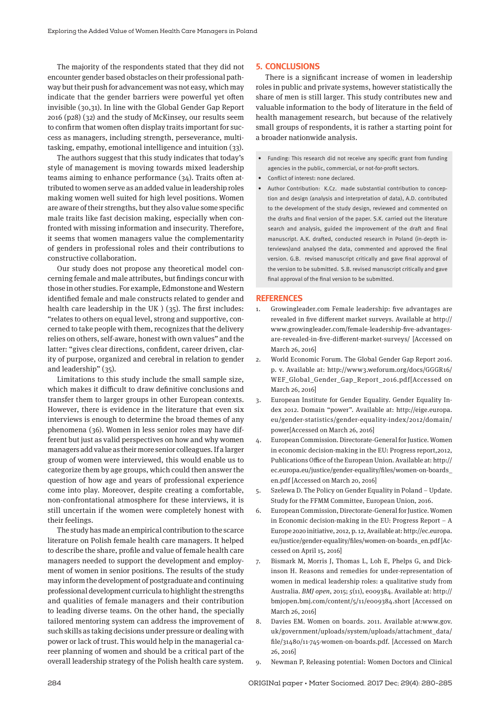The majority of the respondents stated that they did not encounter gender based obstacles on their professional pathway but their push for advancement was not easy, which may indicate that the gender barriers were powerful yet often invisible (30,31). In line with the Global Gender Gap Report 2016 (p28) (32) and the study of McKinsey, our results seem to confirm that women often display traits important for success as managers, including strength, perseverance, multitasking, empathy, emotional intelligence and intuition (33).

The authors suggest that this study indicates that today's style of management is moving towards mixed leadership teams aiming to enhance performance (34). Traits often attributed to women serve as an added value in leadership roles making women well suited for high level positions. Women are aware of their strengths, but they also value some specific male traits like fast decision making, especially when confronted with missing information and insecurity. Therefore, it seems that women managers value the complementarity of genders in professional roles and their contributions to constructive collaboration.

Our study does not propose any theoretical model concerning female and male attributes, but findings concur with those in other studies. For example, Edmonstone and Western identified female and male constructs related to gender and health care leadership in the UK ) (35). The first includes: "relates to others on equal level, strong and supportive, concerned to take people with them, recognizes that the delivery relies on others, self-aware, honest with own values" and the latter: "gives clear directions, confident, career driven, clarity of purpose, organized and cerebral in relation to gender and leadership" (35).

Limitations to this study include the small sample size, which makes it difficult to draw definitive conclusions and transfer them to larger groups in other European contexts. However, there is evidence in the literature that even six interviews is enough to determine the broad themes of any phenomena (36). Women in less senior roles may have different but just as valid perspectives on how and why women managers add value as their more senior colleagues. If a larger group of women were interviewed, this would enable us to categorize them by age groups, which could then answer the question of how age and years of professional experience come into play. Moreover, despite creating a comfortable, non-confrontational atmosphere for these interviews, it is still uncertain if the women were completely honest with their feelings.

The study has made an empirical contribution to the scarce literature on Polish female health care managers. It helped to describe the share, profile and value of female health care managers needed to support the development and employment of women in senior positions. The results of the study may inform the development of postgraduate and continuing professional development curricula to highlight the strengths and qualities of female managers and their contribution to leading diverse teams. On the other hand, the specially tailored mentoring system can address the improvement of such skills as taking decisions under pressure or dealing with power or lack of trust. This would help in the managerial career planning of women and should be a critical part of the overall leadership strategy of the Polish health care system.

### **5. CONCLUSIONS**

There is a significant increase of women in leadership roles in public and private systems, however statistically the share of men is still larger. This study contributes new and valuable information to the body of literature in the field of health management research, but because of the relatively small groups of respondents, it is rather a starting point for a broader nationwide analysis.

- Funding: This research did not receive any specific grant from funding agencies in the public, commercial, or not-for-profit sectors.
- Conflict of interest: none declared.
- Author Contribution: K.Cz. made substantial contribution to conception and design (analysis and interpretation of data), A.D. contributed to the development of the study design, reviewed and commented on the drafts and final version of the paper. S.K. carried out the literature search and analysis, guided the improvement of the draft and final manuscript. A.K. drafted, conducted research in Poland (in-depth interviews)and analysed the data, commented and approved the final version. G.B. revised manuscript critically and gave final approval of the version to be submitted. S.B. revised manuscript critically and gave final approval of the final version to be submitted.

#### **REFERENCES**

- 1. Growingleader.com Female leadership: five advantages are revealed in five different market surveys. Available at http:// www.growingleader.com/female-leadership-five-advantagesare-revealed-in-five-different-market-surveys/ [Accessed on March 26, 2016]
- 2. World Economic Forum. The Global Gender Gap Report 2016. p. v. Available at: http://www3.weforum.org/docs/GGGR16/ WEF\_Global\_Gender\_Gap\_Report\_2016.pdf[Accessed on March 26, 2016]
- 3. European Institute for Gender Equality. Gender Equality Index 2012. Domain "power". Available at: http://eige.europa. eu/gender-statistics/gender-equality-index/2012/domain/ power[Accessed on March 26, 2016]
- 4. European Commission. Directorate-General for Justice. Women in economic decision-making in the EU: Progress report,2012, Publications Office of the European Union. Available at: http:// ec.europa.eu/justice/gender-equality/files/women-on-boards\_ en.pdf [Accessed on March 20, 2016]
- 5. Szelewa D. The Policy on Gender Equality in Poland Update. Study for the FFMM Committee, European Union, 2016.
- 6. European Commission, Directorate-General for Justice. Women in Economic decision-making in the EU: Progress Report – A Europe 2020 initiative, 2012, p. 12, Available at: http://ec.europa. eu/justice/gender-equality/files/women-on-boards\_en.pdf [Accessed on April 15, 2016]
- 7. Bismark M, Morris J, Thomas L, Loh E, Phelps G, and Dickinson H. Reasons and remedies for under-representation of women in medical leadership roles: a qualitative study from Australia. *BMJ open*, 2015; *5*(11), e009384. Available at: http:// bmjopen.bmj.com/content/5/11/e009384.short [Accessed on March 26, 2016]
- 8. Davies EM. Women on boards. 2011. Available at:www.gov. uk/government/uploads/system/uploads/attachment\_data/ file/31480/11-745-women-on-boards.pdf. [Accessed on March 26, 2016]
- 9. Newman P, Releasing potential: Women Doctors and Clinical